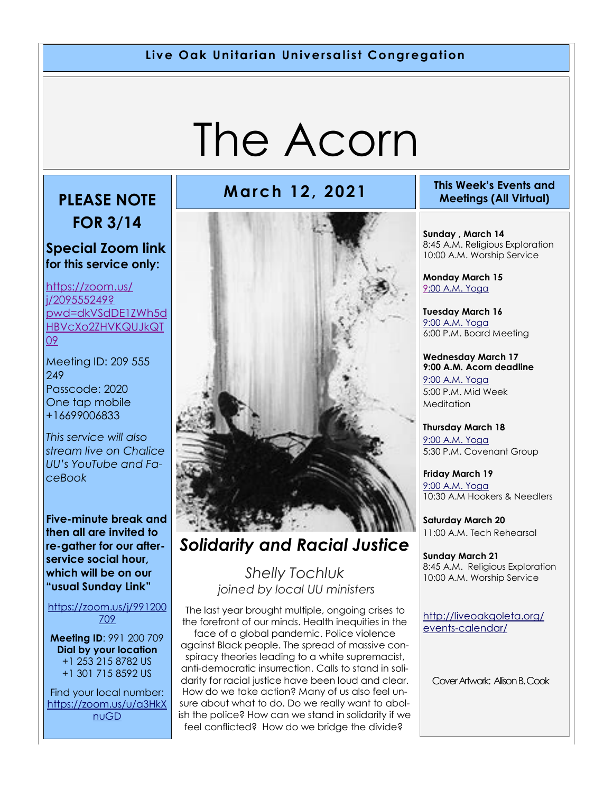#### **Live Oak Unitarian Universalist Congregation**

# The Acorn

## **PLEASE NOTE**

**FOR 3/14**

#### **Special Zoom link for this service only:**

[https://zoom.us/](https://zoom.us/j/209555249?pwd=dkVSdDE1ZWh5dHBVcXo2ZHVKQUJkQT09) [j/209555249?](https://zoom.us/j/209555249?pwd=dkVSdDE1ZWh5dHBVcXo2ZHVKQUJkQT09) [pwd=dkVSdDE1ZWh5d](https://zoom.us/j/209555249?pwd=dkVSdDE1ZWh5dHBVcXo2ZHVKQUJkQT09) [HBVcXo2ZHVKQUJkQT](https://zoom.us/j/209555249?pwd=dkVSdDE1ZWh5dHBVcXo2ZHVKQUJkQT09) [09](https://zoom.us/j/209555249?pwd=dkVSdDE1ZWh5dHBVcXo2ZHVKQUJkQT09)

Meeting ID: 209 555 249 Passcode: 2020 One tap mobile +16699006833

*This service will also stream live on Chalice UU's YouTube and FaceBook*

**Five-minute break and then all are invited to re-gather for our afterservice social hour, which will be on our "usual Sunday Link"**

[https://zoom.us/j/991200](https://zoom.us/j/991200709) [709](https://zoom.us/j/991200709)

**Meeting ID**: 991 200 709 **Dial by your location** +1 253 215 8782 US +1 301 715 8592 US

Find your local number: [https://zoom.us/u/a3HkX](https://zoom.us/u/a3HkXnuGD) [nuGD](https://zoom.us/u/a3HkXnuGD)



#### *Solidarity and Racial Justice*

*Shelly Tochluk joined by local UU ministers*

The last year brought multiple, ongoing crises to the forefront of our minds. Health inequities in the face of a global pandemic. Police violence against Black people. The spread of massive conspiracy theories leading to a white supremacist, anti-democratic insurrection. Calls to stand in soli-

darity for racial justice have been loud and clear. How do we take action? Many of us also feel unsure about what to do. Do we really want to abolish the police? How can we stand in solidarity if we feel conflicted? How do we bridge the divide?

#### **March 12, 2021 This Week's Events and Meetings (All Virtual)**

**Sunday , March 14** 8:45 A.M. Religious Exploration 10:00 A.M. Worship Service

**Monday March 15** [9:](https://us02web.zoom.us/meeting/register/tZ0pc-6qrTwqH9WUfmrB_nZu0MWqJ8CyS3Uw)[00 A.M. Yoga](https://us02web.zoom.us/j/86278199291?pwd=WUh1MFJyVXNVOTIyQ1NmanJoSmNXQT09)

**Tuesday March 16** [9:00 A.M. Yoga](https://us02web.zoom.us/meeting/register/tZ0pc-6qrTwqH9WUfmrB_nZu0MWqJ8CyS3Uw)  6:00 P.M. Board Meeting

**Wednesday March 17 9:00 A.M. Acorn deadline** [9:00 A.M. Yoga](https://us02web.zoom.us/meeting/register/tZ0pc-6qrTwqH9WUfmrB_nZu0MWqJ8CyS3Uw)  5:00 P.M. Mid Week Meditation

**Thursday March 18** [9:00 A.M. Yoga](https://us02web.zoom.us/meeting/register/tZ0pc-6qrTwqH9WUfmrB_nZu0MWqJ8CyS3Uw)  5:30 P.M. Covenant Group

**Friday March 19** [9:00 A.M. Yoga](https://us02web.zoom.us/meeting/register/tZ0pc-6qrTwqH9WUfmrB_nZu0MWqJ8CyS3Uw)  10:30 A.M Hookers & Needlers

**Saturday March 20** 11:00 A.M. Tech Rehearsal

**Sunday March 21** 8:45 A.M. Religious Exploration 10:00 A.M. Worship Service

[http://liveoakgoleta.org/](http://liveoakgoleta.org/events-calendar/) [events-calendar/](http://liveoakgoleta.org/events-calendar/)

Cover Artwork: Allison B. Cook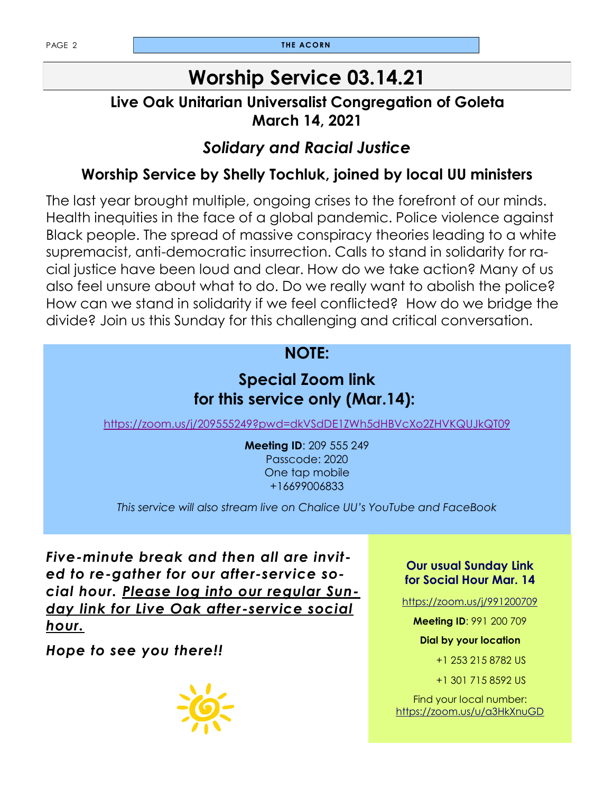### **Worship Service 03.14.21**

#### **Live Oak Unitarian Universalist Congregation of Goleta March 14, 2021**

#### *Solidary and Racial Justice*

#### **Worship Service by Shelly Tochluk, joined by local UU ministers**

The last year brought multiple, ongoing crises to the forefront of our minds. Health inequities in the face of a global pandemic. Police violence against Black people. The spread of massive conspiracy theories leading to a white supremacist, anti-democratic insurrection. Calls to stand in solidarity for racial justice have been loud and clear. How do we take action? Many of us also feel unsure about what to do. Do we really want to abolish the police? How can we stand in solidarity if we feel conflicted? How do we bridge the divide? Join us this Sunday for this challenging and critical conversation.

#### **NOTE:**

#### **Special Zoom link for this service only (Mar.14):**

<https://zoom.us/j/209555249?pwd=dkVSdDE1ZWh5dHBVcXo2ZHVKQUJkQT09>

**Meeting ID**: 209 555 249 Passcode: 2020 One tap mobile +16699006833

*This service will also stream live on Chalice UU's YouTube and FaceBook*

*Five-minute break and then all are invited to re-gather for our after-service social hour. Please log into our regular Sunday link for Live Oak after-service social hour.*

*Hope to see you there!!*



#### **Our usual Sunday Link for Social Hour Mar. 14**

<https://zoom.us/j/991200709>

**Meeting ID**: 991 200 709

**Dial by your location** 

+1 253 215 8782 US

+1 301 715 8592 US

Find your local number: <https://zoom.us/u/a3HkXnuGD>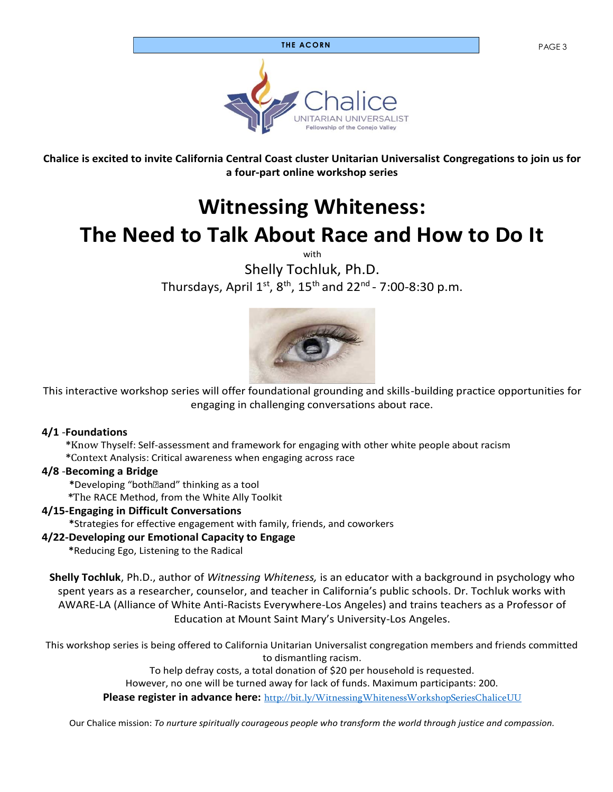#### **THE ACORN** PAGE 3



**Chalice is excited to invite California Central Coast cluster Unitarian Universalist Congregations to join us for a four-part online workshop series**

### **Witnessing Whiteness: The Need to Talk About Race and How to Do It**

with

Shelly Tochluk, Ph.D. Thursdays, April  $1^\text{st}$ ,  $8^\text{th}$ ,  $15^\text{th}$  and  $22^\text{nd}$  - 7:00-8:30 p.m.



This interactive workshop series will offer foundational grounding and skills-building practice opportunities for engaging in challenging conversations about race.

#### **4/1** -**Foundations**

**\***Know Thyself: Self-assessment and framework for engaging with other white people about racism

**\***Context Analysis: Critical awareness when engaging across race

#### **4/8** -**Becoming a Bridge**

 **\***Developing "bothand" thinking as a tool **\***The RACE Method, from the White Ally Toolkit

#### **4/15-Engaging in Difficult Conversations**

 **\***Strategies for effective engagement with family, friends, and coworkers

#### **4/22-Developing our Emotional Capacity to Engage**

 **\***Reducing Ego, Listening to the Radical

**Shelly Tochluk**, Ph.D., author of *Witnessing Whiteness,* is an educator with a background in psychology who spent years as a researcher, counselor, and teacher in California's public schools. Dr. Tochluk works with AWARE-LA (Alliance of White Anti-Racists Everywhere-Los Angeles) and trains teachers as a Professor of Education at Mount Saint Mary's University-Los Angeles.

This workshop series is being offered to California Unitarian Universalist congregation members and friends committed to dismantling racism.

To help defray costs, a total donation of \$20 per household is requested.

However, no one will be turned away for lack of funds. Maximum participants: 200.

**Please register in advance here:** http://bit.ly/WitnessingWhitenessWorkshopSeriesChaliceUU

Our Chalice mission: *To nurture spiritually courageous people who transform the world through justice and compassion.*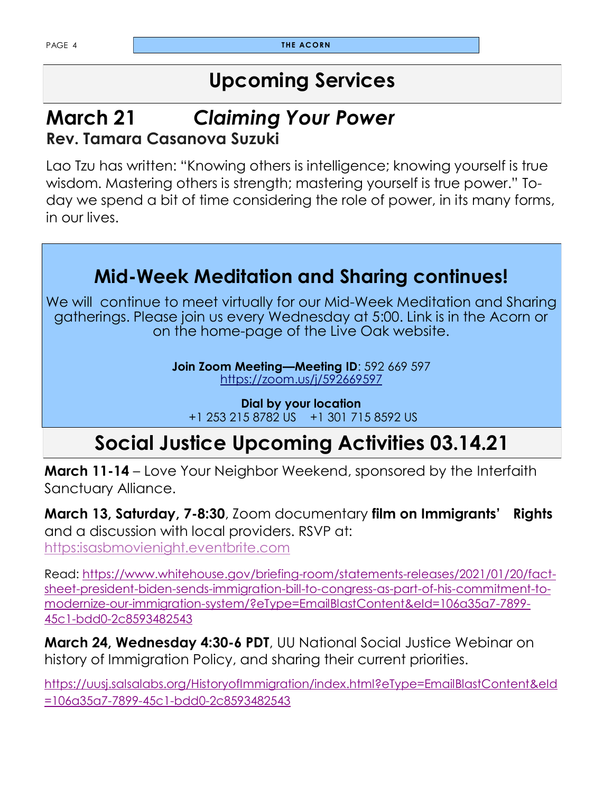### **Upcoming Services**

#### **March 21** *Claiming Your Power* **Rev. Tamara Casanova Suzuki**

Lao Tzu has written: "Knowing others is intelligence; knowing yourself is true wisdom. Mastering others is strength; mastering yourself is true power." Today we spend a bit of time considering the role of power, in its many forms, in our lives.

### **Mid-Week Meditation and Sharing continues!**

We will continue to meet virtually for our Mid-Week Meditation and Sharing gatherings. Please join us every Wednesday at 5:00. Link is in the Acorn or on the home-page of the Live Oak website.

> **Join Zoom Meeting—Meeting ID**: 592 669 597 <https://zoom.us/j/592669597>

**Dial by your location** +1 253 215 8782 US +1 301 715 8592 US

### **Social Justice Upcoming Activities 03.14.21**

**March 11-14** – Love Your Neighbor Weekend, sponsored by the Interfaith Sanctuary Alliance.

**March 13, Saturday, 7-8:30**, Zoom documentary **film on Immigrants' Rights** and a discussion with local providers. RSVP at: [https:isasbmovienight.eventbrite.com](https://isasbmovienight.eventbrite.com)

Read: [https://www.whitehouse.gov/briefing-room/statements-releases/2021/01/20/fact](https://www.whitehouse.gov/briefing-room/statements-releases/2021/01/20/fact-sheet-president-biden-sends-immigration-bill-to-congress-as-part-of-his-commitment-to-modernize-our-immigration-system/?eType=EmailBlastContent&eId=106a35a7-7899-45c1-bdd0-2c85934825)[sheet-president-biden-sends-immigration-bill-to-congress-as-part-of-his-commitment-to](https://www.whitehouse.gov/briefing-room/statements-releases/2021/01/20/fact-sheet-president-biden-sends-immigration-bill-to-congress-as-part-of-his-commitment-to-modernize-our-immigration-system/?eType=EmailBlastContent&eId=106a35a7-7899-45c1-bdd0-2c85934825)[modernize-our-immigration-system/?eType=EmailBlastContent&eId=106a35a7-7899-](https://www.whitehouse.gov/briefing-room/statements-releases/2021/01/20/fact-sheet-president-biden-sends-immigration-bill-to-congress-as-part-of-his-commitment-to-modernize-our-immigration-system/?eType=EmailBlastContent&eId=106a35a7-7899-45c1-bdd0-2c85934825) [45c1-bdd0-2c8593482543](https://www.whitehouse.gov/briefing-room/statements-releases/2021/01/20/fact-sheet-president-biden-sends-immigration-bill-to-congress-as-part-of-his-commitment-to-modernize-our-immigration-system/?eType=EmailBlastContent&eId=106a35a7-7899-45c1-bdd0-2c85934825)

**March 24, Wednesday 4:30-6 PDT**, UU National Social Justice Webinar on history of Immigration Policy, and sharing their current priorities.

[https://uusj.salsalabs.org/HistoryofImmigration/index.html?eType=EmailBlastContent&eId](https://uusj.salsalabs.org/HistoryofImmigration/index.html?eType=EmailBlastContent&eId=106a35a7-7899-45c1-bdd0-2c8593482543) [=106a35a7-7899-45c1-bdd0-2c8593482543](https://uusj.salsalabs.org/HistoryofImmigration/index.html?eType=EmailBlastContent&eId=106a35a7-7899-45c1-bdd0-2c8593482543)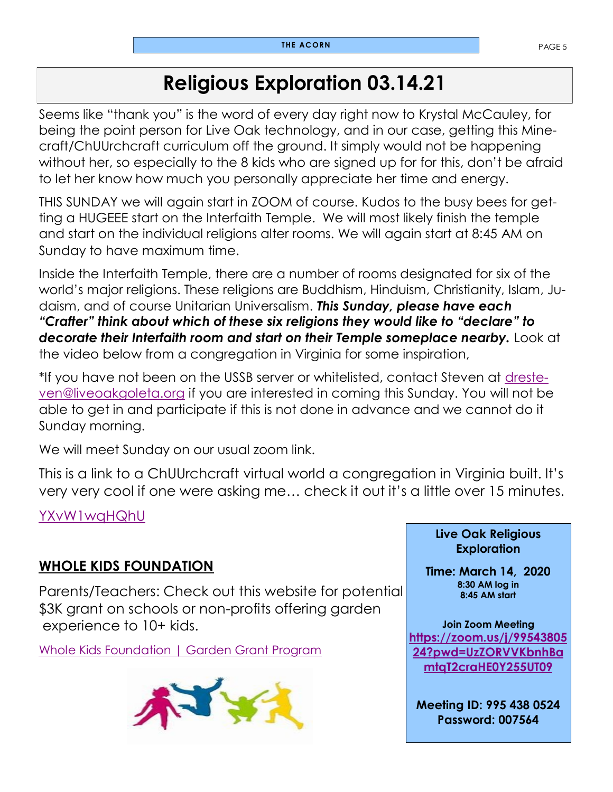### **Religious Exploration 03.14.21**

Seems like "thank you" is the word of every day right now to Krystal McCauley, for being the point person for Live Oak technology, and in our case, getting this Minecraft/ChUUrchcraft curriculum off the ground. It simply would not be happening without her, so especially to the 8 kids who are signed up for for this, don't be afraid to let her know how much you personally appreciate her time and energy.

THIS SUNDAY we will again start in ZOOM of course. Kudos to the busy bees for getting a HUGEEE start on the Interfaith Temple. We will most likely finish the temple and start on the individual religions alter rooms. We will again start at 8:45 AM on Sunday to have maximum time.

Inside the Interfaith Temple, there are a number of rooms designated for six of the world's major religions. These religions are Buddhism, Hinduism, Christianity, Islam, Judaism, and of course Unitarian Universalism. *This Sunday, please have each "Crafter" think about which of these six religions they would like to "declare" to*  **decorate their Interfaith room and start on their Temple someplace nearby.** Look at the video below from a congregation in Virginia for some inspiration,

\*If you have not been on the USSB server or whitelisted, contact Steven at [dreste](mailto:dresteven@liveoakgoleta.org)[ven@liveoakgoleta.org](mailto:dresteven@liveoakgoleta.org) if you are interested in coming this Sunday. You will not be able to get in and participate if this is not done in advance and we cannot do it Sunday morning.

We will meet Sunday on our usual zoom link.

This is a link to a ChUUrchcraft virtual world a congregation in Virginia built. It's very very cool if one were asking me… check it out it's a little over 15 minutes.

[YXvW1wqHQhU](https://www.youtube.com/watch?v=YXvW1wqHQhU)

#### **WHOLE KIDS FOUNDATION**

Parents/Teachers: Check out this website for potential \$3K grant on schools or non-profits offering garden experience to 10+ kids.

[Whole Kids Foundation | Garden Grant Program](https://www.wholekidsfoundation.org/programs/school-gardens-grant)



**Live Oak Religious Exploration** 

**Time: March 14, 2020 8:30 AM log in 8:45 AM start**

**Join Zoom Meeting [https://zoom.us/j/99543805](https://zoom.us/j/9954380524?pwd=UzZORVVKbnhBamtqT2craHE0Y255UT09) [24?pwd=UzZORVVKbnhBa](https://zoom.us/j/9954380524?pwd=UzZORVVKbnhBamtqT2craHE0Y255UT09) [mtqT2craHE0Y255UT09](https://zoom.us/j/9954380524?pwd=UzZORVVKbnhBamtqT2craHE0Y255UT09)**

**Meeting ID: 995 438 0524 Password: 007564**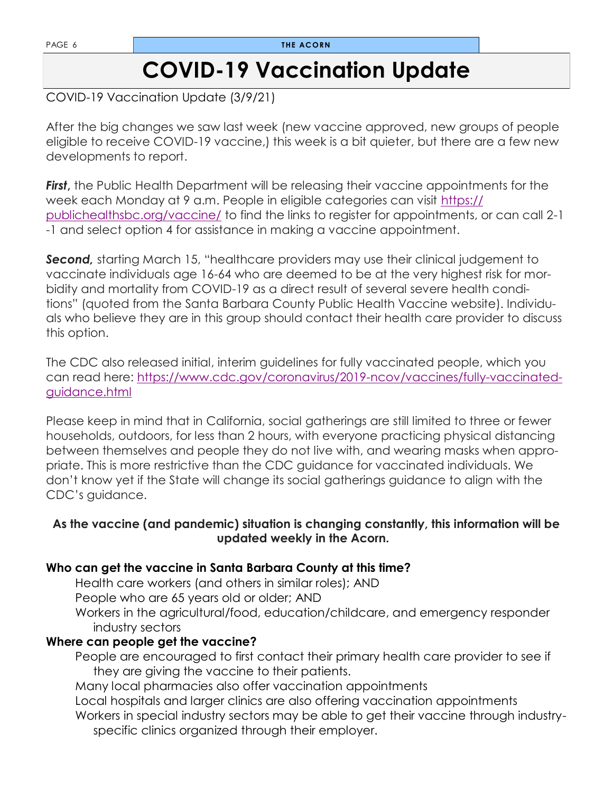PAGE 6 **THE ACORN** 

### **COVID-19 Vaccination Update**

COVID-19 Vaccination Update (3/9/21)

After the big changes we saw last week (new vaccine approved, new groups of people eligible to receive COVID-19 vaccine,) this week is a bit quieter, but there are a few new developments to report.

**First**, the Public Health Department will be releasing their vaccine appointments for the week each Monday at 9 a.m. People in eligible categories can visit [https://](https://publichealthsbc.org/vaccine/) [publichealthsbc.org/vaccine/](https://publichealthsbc.org/vaccine/) to find the links to register for appointments, or can call 2-1 -1 and select option 4 for assistance in making a vaccine appointment.

**Second,** starting March 15, "healthcare providers may use their clinical judgement to vaccinate individuals age 16-64 who are deemed to be at the very highest risk for morbidity and mortality from COVID-19 as a direct result of several severe health conditions" (quoted from the Santa Barbara County Public Health Vaccine website). Individuals who believe they are in this group should contact their health care provider to discuss this option.

The CDC also released initial, interim guidelines for fully vaccinated people, which you can read here: [https://www.cdc.gov/coronavirus/2019-ncov/vaccines/fully-vaccinated](https://www.cdc.gov/coronavirus/2019-ncov/vaccines/fully-vaccinated-guidance.html)[guidance.html](https://www.cdc.gov/coronavirus/2019-ncov/vaccines/fully-vaccinated-guidance.html)

Please keep in mind that in California, social gatherings are still limited to three or fewer households, outdoors, for less than 2 hours, with everyone practicing physical distancing between themselves and people they do not live with, and wearing masks when appropriate. This is more restrictive than the CDC guidance for vaccinated individuals. We don't know yet if the State will change its social gatherings guidance to align with the CDC's guidance.

#### **As the vaccine (and pandemic) situation is changing constantly, this information will be updated weekly in the Acorn.**

#### **Who can get the vaccine in Santa Barbara County at this time?**

Health care workers (and others in similar roles); AND

People who are 65 years old or older; AND

Workers in the agricultural/food, education/childcare, and emergency responder industry sectors

#### **Where can people get the vaccine?**

People are encouraged to first contact their primary health care provider to see if they are giving the vaccine to their patients.

Many local pharmacies also offer vaccination appointments

Local hospitals and larger clinics are also offering vaccination appointments

Workers in special industry sectors may be able to get their vaccine through industryspecific clinics organized through their employer.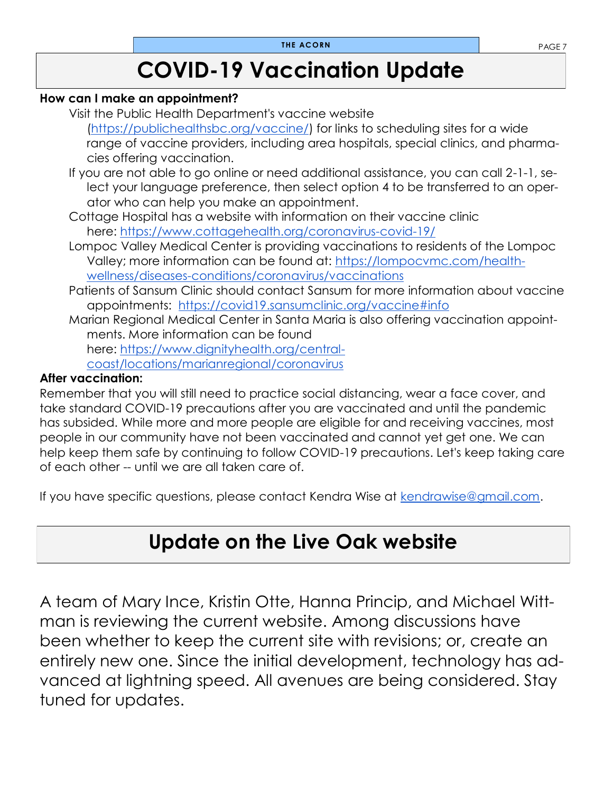### **COVID-19 Vaccination Update**

#### **How can I make an appointment?**

Visit the Public Health Department's vaccine website [\(https://publichealthsbc.org/vaccine/\)](https://publichealthsbc.org/vaccine/) for links to scheduling sites for a wide range of vaccine providers, including area hospitals, special clinics, and pharma-

cies offering vaccination.

- If you are not able to go online or need additional assistance, you can call 2-1-1, select your language preference, then select option 4 to be transferred to an operator who can help you make an appointment.
- Cottage Hospital has a website with information on their vaccine clinic here: <https://www.cottagehealth.org/coronavirus-covid-19/>
- Lompoc Valley Medical Center is providing vaccinations to residents of the Lompoc Valley; more information can be found at: [https://lompocvmc.com/health](https://lompocvmc.com/health-wellness/diseases-conditions/coronavirus/vaccinations)[wellness/diseases-conditions/coronavirus/vaccinations](https://lompocvmc.com/health-wellness/diseases-conditions/coronavirus/vaccinations)
- Patients of Sansum Clinic should contact Sansum for more information about vaccine appointments: <https://covid19.sansumclinic.org/vaccine#info>
- Marian Regional Medical Center in Santa Maria is also offering vaccination appointments. More information can be found

here: [https://www.dignityhealth.org/central-](https://www.dignityhealth.org/central-coast/locations/marianregional/coronavirus)

[coast/locations/marianregional/coronavirus](https://www.dignityhealth.org/central-coast/locations/marianregional/coronavirus)

#### **After vaccination:**

Remember that you will still need to practice social distancing, wear a face cover, and take standard COVID-19 precautions after you are vaccinated and until the pandemic has subsided. While more and more people are eligible for and receiving vaccines, most people in our community have not been vaccinated and cannot yet get one. We can help keep them safe by continuing to follow COVID-19 precautions. Let's keep taking care of each other -- until we are all taken care of.

If you have specific questions, please contact Kendra Wise at [kendrawise@gmail.com.](mailto:kendrawise@gmail.com)

### **Update on the Live Oak website**

A team of Mary Ince, Kristin Otte, Hanna Princip, and Michael Wittman is reviewing the current website. Among discussions have been whether to keep the current site with revisions; or, create an entirely new one. Since the initial development, technology has advanced at lightning speed. All avenues are being considered. Stay tuned for updates.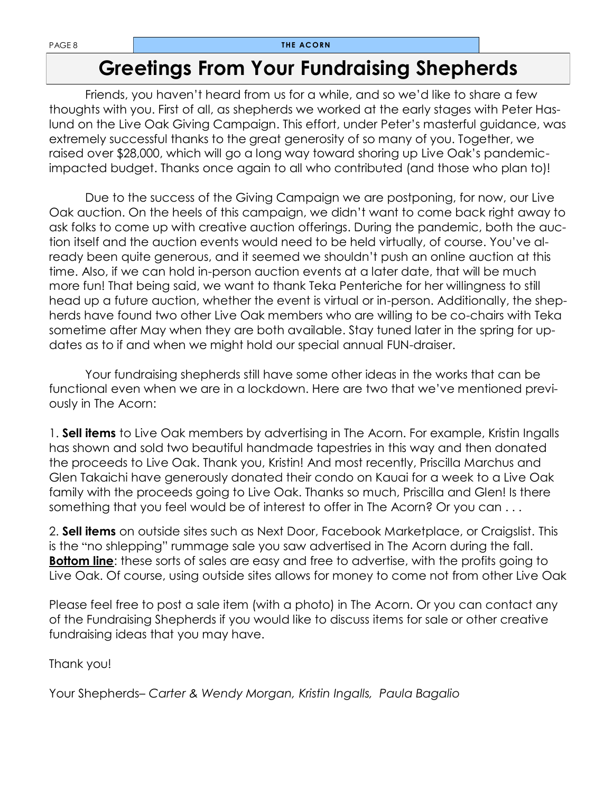### **Greetings From Your Fundraising Shepherds**

Friends, you haven't heard from us for a while, and so we'd like to share a few thoughts with you. First of all, as shepherds we worked at the early stages with Peter Haslund on the Live Oak Giving Campaign. This effort, under Peter's masterful guidance, was extremely successful thanks to the great generosity of so many of you. Together, we raised over \$28,000, which will go a long way toward shoring up Live Oak's pandemicimpacted budget. Thanks once again to all who contributed (and those who plan to)!

Due to the success of the Giving Campaign we are postponing, for now, our Live Oak auction. On the heels of this campaign, we didn't want to come back right away to ask folks to come up with creative auction offerings. During the pandemic, both the auction itself and the auction events would need to be held virtually, of course. You've already been quite generous, and it seemed we shouldn't push an online auction at this time. Also, if we can hold in-person auction events at a later date, that will be much more fun! That being said, we want to thank Teka Penteriche for her willingness to still head up a future auction, whether the event is virtual or in-person. Additionally, the shepherds have found two other Live Oak members who are willing to be co-chairs with Teka sometime after May when they are both available. Stay tuned later in the spring for updates as to if and when we might hold our special annual FUN-draiser.

Your fundraising shepherds still have some other ideas in the works that can be functional even when we are in a lockdown. Here are two that we've mentioned previously in The Acorn:

1. **Sell items** to Live Oak members by advertising in The Acorn. For example, Kristin Ingalls has shown and sold two beautiful handmade tapestries in this way and then donated the proceeds to Live Oak. Thank you, Kristin! And most recently, Priscilla Marchus and Glen Takaichi have generously donated their condo on Kauai for a week to a Live Oak family with the proceeds going to Live Oak. Thanks so much, Priscilla and Glen! Is there something that you feel would be of interest to offer in The Acorn? Or you can . . .

2. **Sell items** on outside sites such as Next Door, Facebook Marketplace, or Craigslist. This is the "no shlepping" rummage sale you saw advertised in The Acorn during the fall. **Bottom line**: these sorts of sales are easy and free to advertise, with the profits going to Live Oak. Of course, using outside sites allows for money to come not from other Live Oak

Please feel free to post a sale item (with a photo) in The Acorn. Or you can contact any of the Fundraising Shepherds if you would like to discuss items for sale or other creative fundraising ideas that you may have.

Thank you!

Your Shepherds– *Carter & Wendy Morgan, Kristin Ingalls, Paula Bagalio*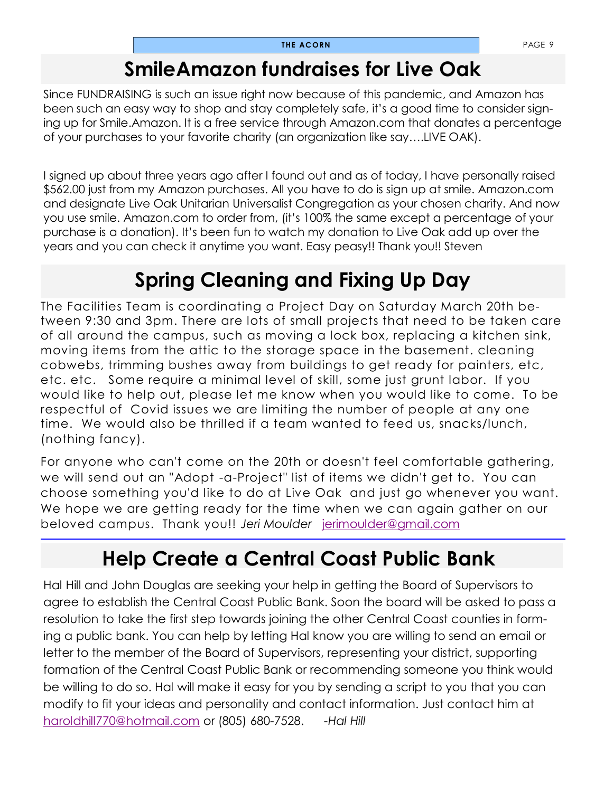### **SmileAmazon fundraises for Live Oak**

Since FUNDRAISING is such an issue right now because of this pandemic, and Amazon has been such an easy way to shop and stay completely safe, it's a good time to consider signing up for Smile.Amazon. It is a free service through Amazon.com that donates a percentage of your purchases to your favorite charity (an organization like say….LIVE OAK).

I signed up about three years ago after I found out and as of today, I have personally raised \$562.00 just from my Amazon purchases. All you have to do is sign up at smile. Amazon.com and designate Live Oak Unitarian Universalist Congregation as your chosen charity. And now you use smile. Amazon.com to order from, (it's 100% the same except a percentage of your purchase is a donation). It's been fun to watch my donation to Live Oak add up over the years and you can check it anytime you want. Easy peasy!! Thank you!! Steven

### **Spring Cleaning and Fixing Up Day**

The Facilities Team is coordinating a Project Day on Saturday March 20th between 9:30 and 3pm. There are lots of small projects that need to be taken care of all around the campus, such as moving a lock box, replacing a kitchen sink, moving items from the attic to the storage space in the basement. cleaning cobwebs, trimming bushes away from buildings to get ready for painters, etc, etc. etc. Some require a minimal level of skill, some just grunt labor. If you would like to help out, please let me know when you would like to come. To be respectful of Covid issues we are limiting the number of people at any one time. We would also be thrilled if a team wanted to feed us, snacks/lunch, (nothing fancy).

For anyone who can't come on the 20th or doesn't feel comfortable gathering, we will send out an "Adopt -a-Project" list of items we didn't get to. You can choose something you'd like to do at Live Oak and just go whenever you want. We hope we are getting ready for the time when we can again gather on our beloved campus. Thank you!! *Jeri Moulder* [jerimoulder@gmail.com](mailto:jerimoulder@gmail.com)

### **Help Create a Central Coast Public Bank**

Hal Hill and John Douglas are seeking your help in getting the Board of Supervisors to agree to establish the Central Coast Public Bank. Soon the board will be asked to pass a resolution to take the first step towards joining the other Central Coast counties in forming a public bank. You can help by letting Hal know you are willing to send an email or letter to the member of the Board of Supervisors, representing your district, supporting formation of the Central Coast Public Bank or recommending someone you think would be willing to do so. Hal will make it easy for you by sending a script to you that you can modify to fit your ideas and personality and contact information. Just contact him at [haroldhill770@hotmail.com](mailto:haroldhill770@hotmail.com) or (805) 680-7528. *-Hal Hill*